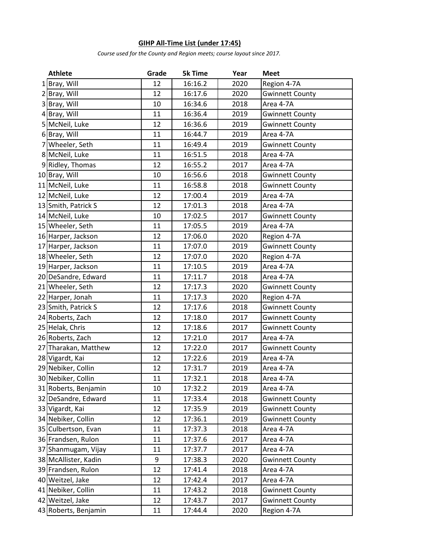## **GIHP All-Time List (under 17:45)**

*Course used for the County and Region meets; course layout since 2017.*

| <b>Athlete</b>       | Grade | <b>5k Time</b> | Year | <b>Meet</b>            |
|----------------------|-------|----------------|------|------------------------|
| Bray, Will           | 12    | 16:16.2        | 2020 | Region 4-7A            |
| 2 Bray, Will         | 12    | 16:17.6        | 2020 | <b>Gwinnett County</b> |
| 3 Bray, Will         | 10    | 16:34.6        | 2018 | Area 4-7A              |
| 4 Bray, Will         | 11    | 16:36.4        | 2019 | <b>Gwinnett County</b> |
| 5 McNeil, Luke       | 12    | 16:36.6        | 2019 | <b>Gwinnett County</b> |
| 6 Bray, Will         | 11    | 16:44.7        | 2019 | Area 4-7A              |
| 7 Wheeler, Seth      | 11    | 16:49.4        | 2019 | <b>Gwinnett County</b> |
| 8 McNeil, Luke       | 11    | 16:51.5        | 2018 | Area 4-7A              |
| 9 Ridley, Thomas     | 12    | 16:55.2        | 2017 | Area 4-7A              |
| 10 Bray, Will        | 10    | 16:56.6        | 2018 | <b>Gwinnett County</b> |
| 11 McNeil, Luke      | 11    | 16:58.8        | 2018 | <b>Gwinnett County</b> |
| 12 McNeil, Luke      | 12    | 17:00.4        | 2019 | Area 4-7A              |
| 13 Smith, Patrick S  | 12    | 17:01.3        | 2018 | Area 4-7A              |
| 14 McNeil, Luke      | 10    | 17:02.5        | 2017 | <b>Gwinnett County</b> |
| 15 Wheeler, Seth     | 11    | 17:05.5        | 2019 | Area 4-7A              |
| 16 Harper, Jackson   | 12    | 17:06.0        | 2020 | Region 4-7A            |
| 17 Harper, Jackson   | 11    | 17:07.0        | 2019 | <b>Gwinnett County</b> |
| 18 Wheeler, Seth     | 12    | 17:07.0        | 2020 | Region 4-7A            |
| 19 Harper, Jackson   | 11    | 17:10.5        | 2019 | Area 4-7A              |
| 20 DeSandre, Edward  | 11    | 17:11.7        | 2018 | Area 4-7A              |
| 21 Wheeler, Seth     | 12    | 17:17.3        | 2020 | <b>Gwinnett County</b> |
| 22 Harper, Jonah     | 11    | 17:17.3        | 2020 | Region 4-7A            |
| 23 Smith, Patrick S  | 12    | 17:17.6        | 2018 | <b>Gwinnett County</b> |
| 24 Roberts, Zach     | 12    | 17:18.0        | 2017 | <b>Gwinnett County</b> |
| 25 Helak, Chris      | 12    | 17:18.6        | 2017 | <b>Gwinnett County</b> |
| 26 Roberts, Zach     | 12    | 17:21.0        | 2017 | Area 4-7A              |
| 27 Tharakan, Matthew | 12    | 17:22.0        | 2017 | <b>Gwinnett County</b> |
| 28 Vigardt, Kai      | 12    | 17:22.6        | 2019 | Area 4-7A              |
| 29 Nebiker, Collin   | 12    | 17:31.7        | 2019 | Area 4-7A              |
| 30 Nebiker, Collin   | 11    | 17:32.1        | 2018 | Area 4-7A              |
| 31 Roberts, Benjamin | 10    | 17:32.2        | 2019 | Area 4-7A              |
| 32 DeSandre, Edward  | 11    | 17:33.4        | 2018 | <b>Gwinnett County</b> |
| 33 Vigardt, Kai      | 12    | 17:35.9        | 2019 | <b>Gwinnett County</b> |
| 34 Nebiker, Collin   | 12    | 17:36.1        | 2019 | <b>Gwinnett County</b> |
| 35 Culbertson, Evan  | 11    | 17:37.3        | 2018 | Area 4-7A              |
| 36 Frandsen, Rulon   | 11    | 17:37.6        | 2017 | Area 4-7A              |
| 37 Shanmugam, Vijay  | 11    | 17:37.7        | 2017 | Area 4-7A              |
| 38 McAllister, Kadin | 9     | 17:38.3        | 2020 | <b>Gwinnett County</b> |
| 39 Frandsen, Rulon   | 12    | 17:41.4        | 2018 | Area 4-7A              |
| 40 Weitzel, Jake     | 12    | 17:42.4        | 2017 | Area 4-7A              |
| 41 Nebiker, Collin   | 11    | 17:43.2        | 2018 | <b>Gwinnett County</b> |
| 42 Weitzel, Jake     | 12    | 17:43.7        | 2017 | <b>Gwinnett County</b> |
| 43 Roberts, Benjamin | 11    | 17:44.4        | 2020 | Region 4-7A            |